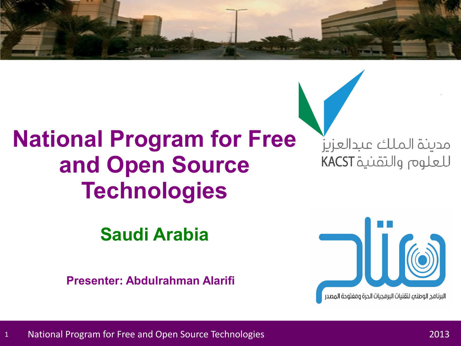## **National Program for Free and Open Source Technologies**

**Saudi Arabia**

**Presenter: Abdulrahman Alarifi**

مدينة الملك عبدالعزيز للعلوم والتقنية KACST

البرنامج الوطني لتقنيات البرمجيات الحرة ومفتوحة المصدر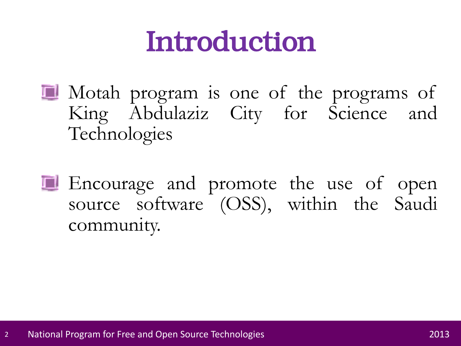# Introduction

- **I** Motah program is one of the programs of King Abdulaziz City for Science and Technologies
- **E** Encourage and promote the use of open source software (OSS), within the Saudi community.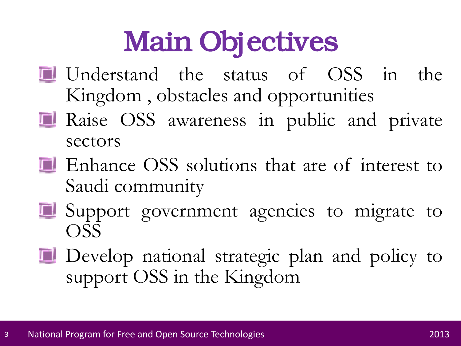# Main Objectives

- Understand the status of OSS in the Kingdom , obstacles and opportunities
- Raise OSS awareness in public and private sectors
- **Enhance OSS** solutions that are of interest to Saudi community
- **El** Support government agencies to migrate to OSS
- **Develop** national strategic plan and policy to support OSS in the Kingdom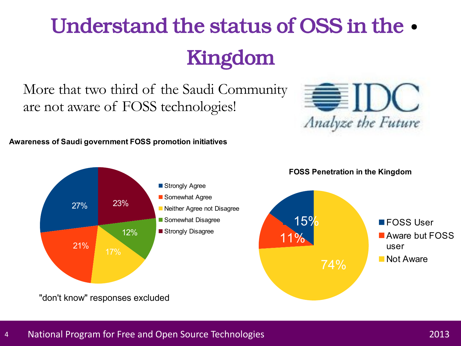# Understand the status of OSS in the • Kingdom

More that two third of the Saudi Community are not aware of FOSS technologies!

#### **Awareness of Saudi government FOSS promotion initiatives**



**EIDC** 

Analyze the Future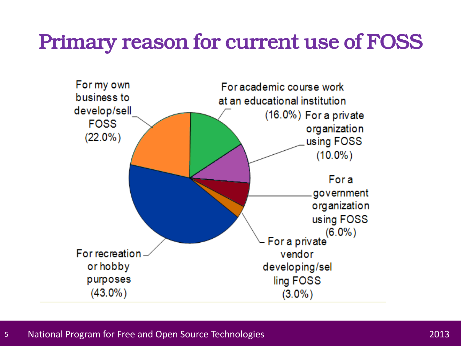#### Primary reason for current use of FOSS

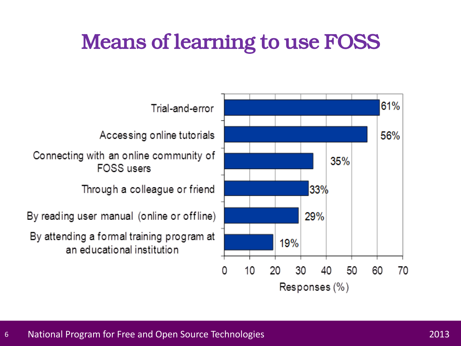#### Means of learning to use FOSS

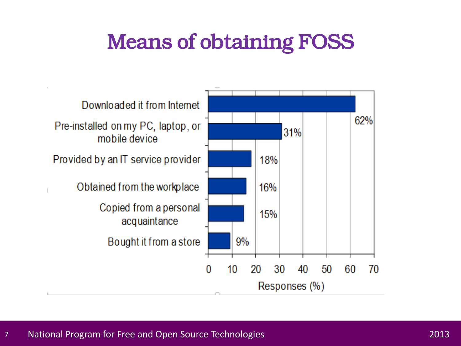### Means of obtaining FOSS

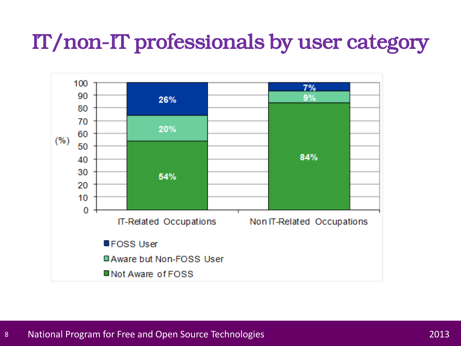#### IT/non-IT professionals by user category

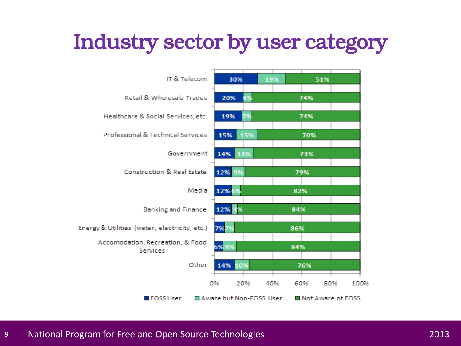### Industry sector by user category

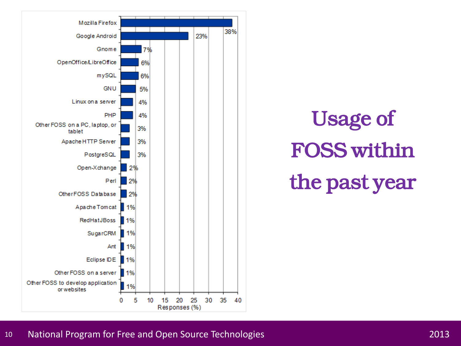

Usage of FOSS within the past year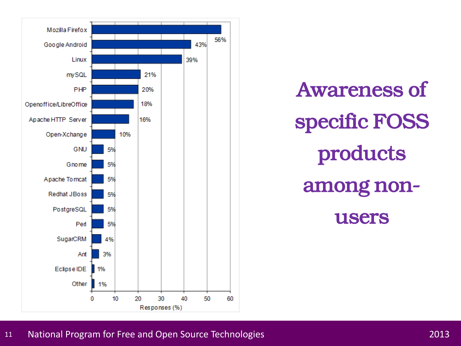

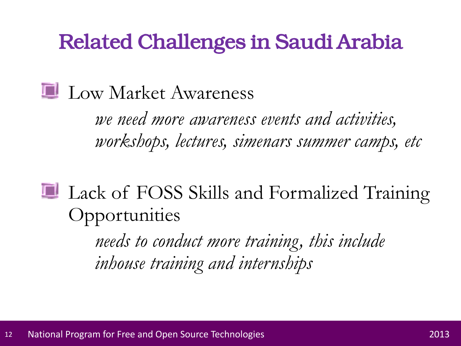#### Related Challenges in Saudi Arabia

#### **Law Market Awareness**

*we need more awareness events and activities, workshops, lectures, simenars summer camps, etc*

Lack of FOSS Skills and Formalized Training **Opportunities** 

> *needs to conduct more training, this include inhouse training and internships*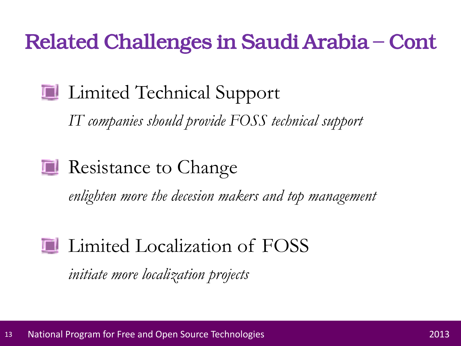### Related Challenges in Saudi Arabia – Cont

### **Limited Technical Support**

*IT companies should provide FOSS technical support*

#### **Resistance to Change**

*enlighten more the decesion makers and top management*

#### **Limited Localization of FOSS**

*initiate more localization projects*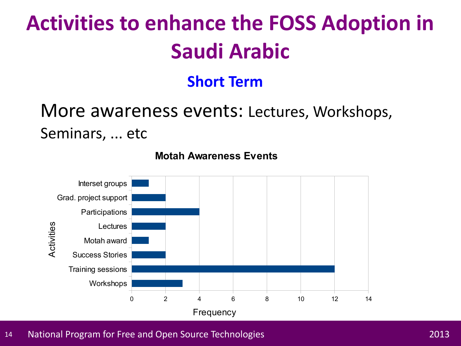## **Activities to enhance the FOSS Adoption in Saudi Arabic**

#### **Short Term**

#### More awareness events: Lectures, Workshops, Seminars, ... etc



**Motah Awareness Events**

14 National Program for Free and Open Source Technologies 2013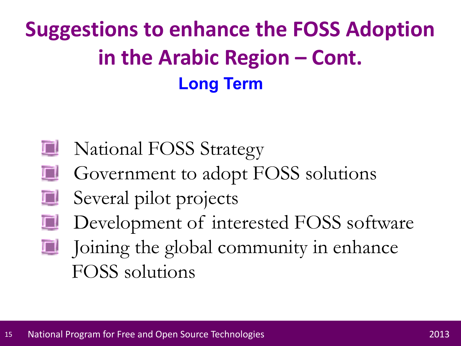## **Suggestions to enhance the FOSS Adoption in the Arabic Region – Cont. Long Term**

- **National FOSS Strategy**
- **Government to adopt FOSS solutions**
- T. Several pilot projects
- Development of interested FOSS software I.
- Joining the global community in enhance II. FOSS solutions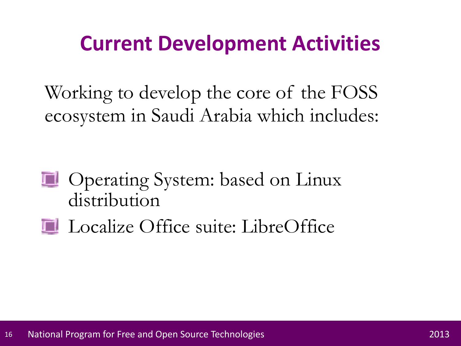### **Current Development Activities**

Working to develop the core of the FOSS ecosystem in Saudi Arabia which includes:

- **D** Operating System: based on Linux distribution
- **Localize Office suite: LibreOffice**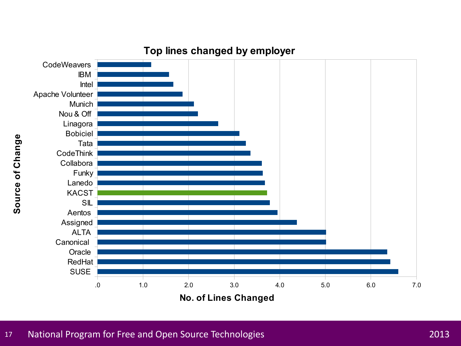

#### **Top lines changed by employer**

17 National Program for Free and Open Source Technologies 2013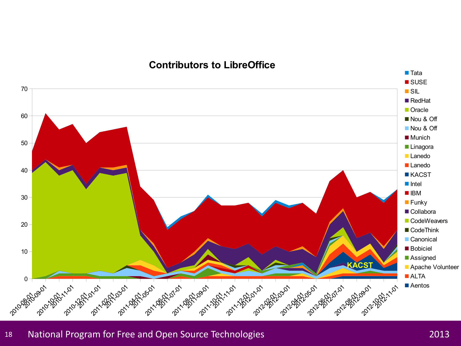#### **Contributors to LibreOffice**



#### 18 National Program for Free and Open Source Technologies 2013